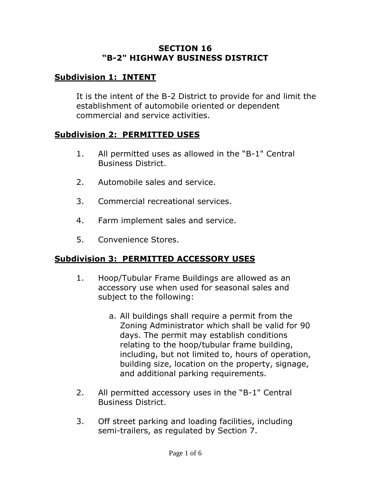#### **SECTION 16 "B-2" HIGHWAY BUSINESS DISTRICT**

# **Subdivision 1: INTENT**

It is the intent of the B-2 District to provide for and limit the establishment of automobile oriented or dependent commercial and service activities.

### **Subdivision 2: PERMITTED USES**

- 1. All permitted uses as allowed in the "B-1" Central Business District.
- 2. Automobile sales and service.
- 3. Commercial recreational services.
- 4. Farm implement sales and service.
- 5. Convenience Stores.

# **Subdivision 3: PERMITTED ACCESSORY USES**

- 1. Hoop/Tubular Frame Buildings are allowed as an accessory use when used for seasonal sales and subject to the following:
	- a. All buildings shall require a permit from the Zoning Administrator which shall be valid for 90 days. The permit may establish conditions relating to the hoop/tubular frame building, including, but not limited to, hours of operation, building size, location on the property, signage, and additional parking requirements.
- 2. All permitted accessory uses in the "B-1" Central Business District.
- 3. Off street parking and loading facilities, including semi-trailers, as regulated by Section 7.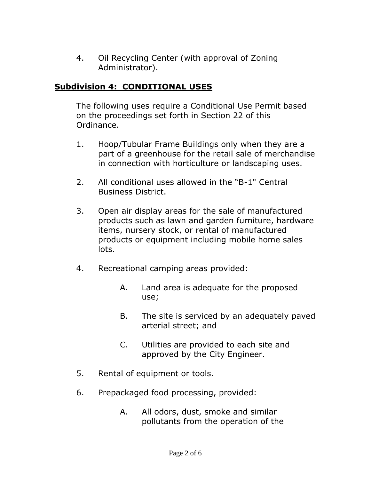4. Oil Recycling Center (with approval of Zoning Administrator).

### **Subdivision 4: CONDITIONAL USES**

The following uses require a Conditional Use Permit based on the proceedings set forth in Section 22 of this Ordinance.

- 1. Hoop/Tubular Frame Buildings only when they are a part of a greenhouse for the retail sale of merchandise in connection with horticulture or landscaping uses.
- 2. All conditional uses allowed in the "B-1" Central Business District.
- 3. Open air display areas for the sale of manufactured products such as lawn and garden furniture, hardware items, nursery stock, or rental of manufactured products or equipment including mobile home sales lots.
- 4. Recreational camping areas provided:
	- A. Land area is adequate for the proposed use;
	- B. The site is serviced by an adequately paved arterial street; and
	- C. Utilities are provided to each site and approved by the City Engineer.
- 5. Rental of equipment or tools.
- 6. Prepackaged food processing, provided:
	- A. All odors, dust, smoke and similar pollutants from the operation of the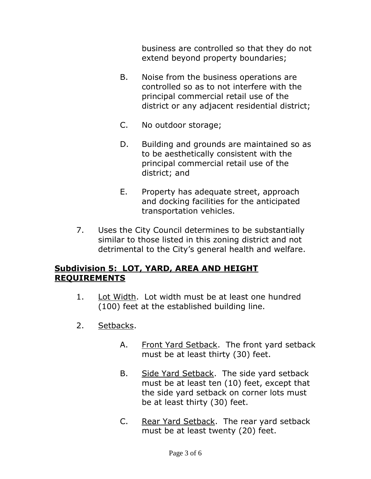business are controlled so that they do not extend beyond property boundaries;

- B. Noise from the business operations are controlled so as to not interfere with the principal commercial retail use of the district or any adjacent residential district;
- C. No outdoor storage;
- D. Building and grounds are maintained so as to be aesthetically consistent with the principal commercial retail use of the district; and
- E. Property has adequate street, approach and docking facilities for the anticipated transportation vehicles.
- 7. Uses the City Council determines to be substantially similar to those listed in this zoning district and not detrimental to the City's general health and welfare.

# **Subdivision 5: LOT, YARD, AREA AND HEIGHT REQUIREMENTS**

- 1. Lot Width. Lot width must be at least one hundred (100) feet at the established building line.
- 2. Setbacks.
	- A. Front Yard Setback. The front yard setback must be at least thirty (30) feet.
	- B. Side Yard Setback. The side yard setback must be at least ten (10) feet, except that the side yard setback on corner lots must be at least thirty (30) feet.
	- C. Rear Yard Setback. The rear yard setback must be at least twenty (20) feet.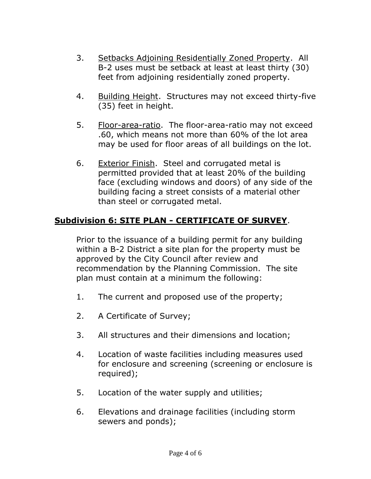- 3. Setbacks Adjoining Residentially Zoned Property. All B-2 uses must be setback at least at least thirty (30) feet from adjoining residentially zoned property.
- 4. Building Height. Structures may not exceed thirty-five (35) feet in height.
- 5. Floor-area-ratio. The floor-area-ratio may not exceed .60, which means not more than 60% of the lot area may be used for floor areas of all buildings on the lot.
- 6. Exterior Finish. Steel and corrugated metal is permitted provided that at least 20% of the building face (excluding windows and doors) of any side of the building facing a street consists of a material other than steel or corrugated metal.

# **Subdivision 6: SITE PLAN - CERTIFICATE OF SURVEY**.

Prior to the issuance of a building permit for any building within a B-2 District a site plan for the property must be approved by the City Council after review and recommendation by the Planning Commission. The site plan must contain at a minimum the following:

- 1. The current and proposed use of the property;
- 2. A Certificate of Survey;
- 3. All structures and their dimensions and location;
- 4. Location of waste facilities including measures used for enclosure and screening (screening or enclosure is required);
- 5. Location of the water supply and utilities;
- 6. Elevations and drainage facilities (including storm sewers and ponds);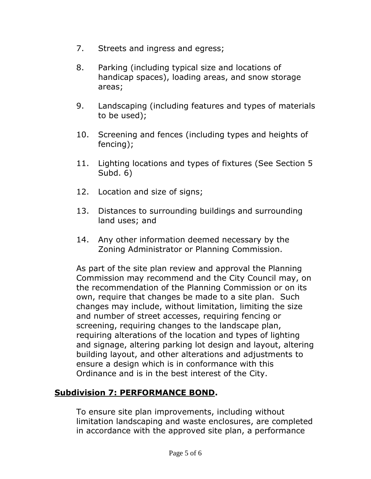- 7. Streets and ingress and egress;
- 8. Parking (including typical size and locations of handicap spaces), loading areas, and snow storage areas;
- 9. Landscaping (including features and types of materials to be used);
- 10. Screening and fences (including types and heights of fencing);
- 11. Lighting locations and types of fixtures (See Section 5 Subd. 6)
- 12. Location and size of signs;
- 13. Distances to surrounding buildings and surrounding land uses; and
- 14. Any other information deemed necessary by the Zoning Administrator or Planning Commission.

As part of the site plan review and approval the Planning Commission may recommend and the City Council may, on the recommendation of the Planning Commission or on its own, require that changes be made to a site plan. Such changes may include, without limitation, limiting the size and number of street accesses, requiring fencing or screening, requiring changes to the landscape plan, requiring alterations of the location and types of lighting and signage, altering parking lot design and layout, altering building layout, and other alterations and adjustments to ensure a design which is in conformance with this Ordinance and is in the best interest of the City.

### **Subdivision 7: PERFORMANCE BOND.**

To ensure site plan improvements, including without limitation landscaping and waste enclosures, are completed in accordance with the approved site plan, a performance